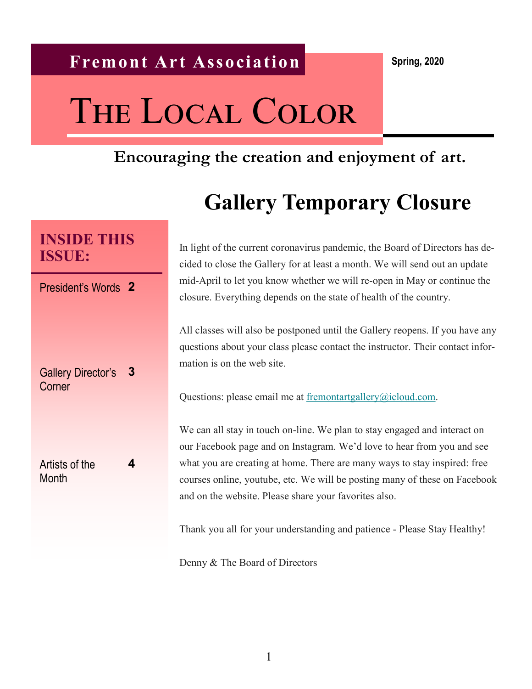# THE LOCAL COLOR

## **Encouraging the creation and enjoyment of art.**

## **Gallery Temporary Closure**

In light of the current coronavirus pandemic, the Board of Directors has decided to close the Gallery for at least a month. We will send out an update mid-April to let you know whether we will re-open in May or continue the closure. Everything depends on the state of health of the country.

All classes will also be postponed until the Gallery reopens. If you have any questions about your class please contact the instructor. Their contact information is on the web site.

Questions: please email me at [fremontartgallery@icloud.com.](mailto:fremontartgallery@icloud.com)

We can all stay in touch on-line. We plan to stay engaged and interact on our Facebook page and on Instagram. We'd love to hear from you and see what you are creating at home. There are many ways to stay inspired: free courses online, youtube, etc. We will be posting many of these on Facebook and on the website. Please share your favorites also.

Thank you all for your understanding and patience - Please Stay Healthy!

Denny & The Board of Directors

## **INSIDE THIS ISSUE:**

President's Words **2**

Gallery Director's Corner **3**

Artists of the **Month** 

**4**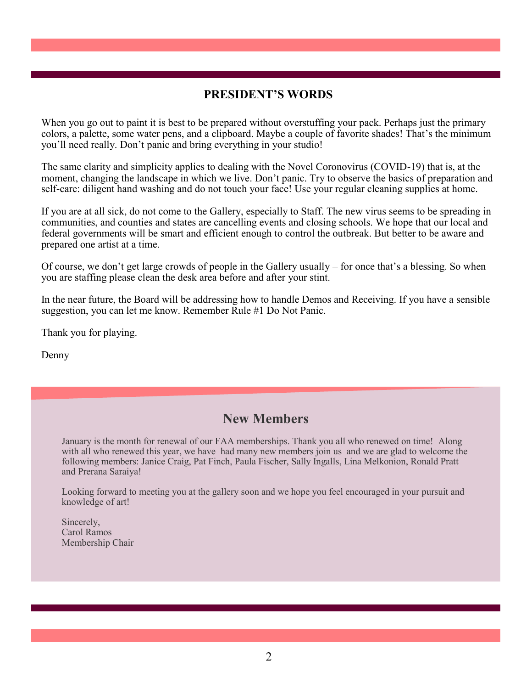#### **PRESIDENT'S WORDS**

When you go out to paint it is best to be prepared without overstuffing your pack. Perhaps just the primary colors, a palette, some water pens, and a clipboard. Maybe a couple of favorite shades! That's the minimum you'll need really. Don't panic and bring everything in your studio!

The same clarity and simplicity applies to dealing with the Novel Coronovirus (COVID-19) that is, at the moment, changing the landscape in which we live. Don't panic. Try to observe the basics of preparation and self-care: diligent hand washing and do not touch your face! Use your regular cleaning supplies at home.

If you are at all sick, do not come to the Gallery, especially to Staff. The new virus seems to be spreading in communities, and counties and states are cancelling events and closing schools. We hope that our local and federal governments will be smart and efficient enough to control the outbreak. But better to be aware and prepared one artist at a time.

Of course, we don't get large crowds of people in the Gallery usually – for once that's a blessing. So when you are staffing please clean the desk area before and after your stint.

In the near future, the Board will be addressing how to handle Demos and Receiving. If you have a sensible suggestion, you can let me know. Remember Rule #1 Do Not Panic.

Thank you for playing.

Denny

#### **New Members**

January is the month for renewal of our FAA memberships. Thank you all who renewed on time! Along with all who renewed this year, we have had many new members join us and we are glad to welcome the following members: Janice Craig, Pat Finch, Paula Fischer, Sally Ingalls, Lina Melkonion, Ronald Pratt and Prerana Saraiya!

Looking forward to meeting you at the gallery soon and we hope you feel encouraged in your pursuit and knowledge of art!

Sincerely, Carol Ramos Membership Chair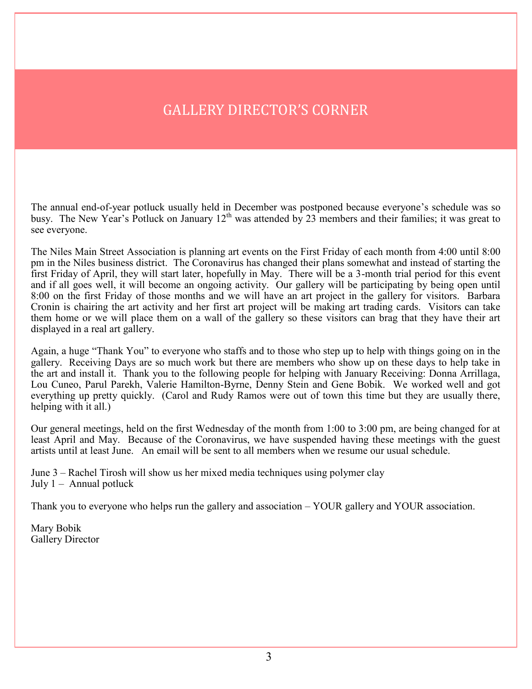## GALLERY DIRECTOR'S CORNER

The annual end-of-year potluck usually held in December was postponed because everyone's schedule was so busy. The New Year's Potluck on January 12<sup>th</sup> was attended by 23 members and their families; it was great to see everyone.

The Niles Main Street Association is planning art events on the First Friday of each month from 4:00 until 8:00 pm in the Niles business district. The Coronavirus has changed their plans somewhat and instead of starting the first Friday of April, they will start later, hopefully in May. There will be a 3-month trial period for this event and if all goes well, it will become an ongoing activity. Our gallery will be participating by being open until 8:00 on the first Friday of those months and we will have an art project in the gallery for visitors. Barbara Cronin is chairing the art activity and her first art project will be making art trading cards. Visitors can take them home or we will place them on a wall of the gallery so these visitors can brag that they have their art displayed in a real art gallery.

Again, a huge "Thank You" to everyone who staffs and to those who step up to help with things going on in the gallery. Receiving Days are so much work but there are members who show up on these days to help take in the art and install it. Thank you to the following people for helping with January Receiving: Donna Arrillaga, Lou Cuneo, Parul Parekh, Valerie Hamilton-Byrne, Denny Stein and Gene Bobik. We worked well and got everything up pretty quickly. (Carol and Rudy Ramos were out of town this time but they are usually there, helping with it all.)

Our general meetings, held on the first Wednesday of the month from 1:00 to 3:00 pm, are being changed for at least April and May. Because of the Coronavirus, we have suspended having these meetings with the guest artists until at least June. An email will be sent to all members when we resume our usual schedule.

June 3 – Rachel Tirosh will show us her mixed media techniques using polymer clay July  $1 -$  Annual potluck

Thank you to everyone who helps run the gallery and association – YOUR gallery and YOUR association.

Mary Bobik Gallery Director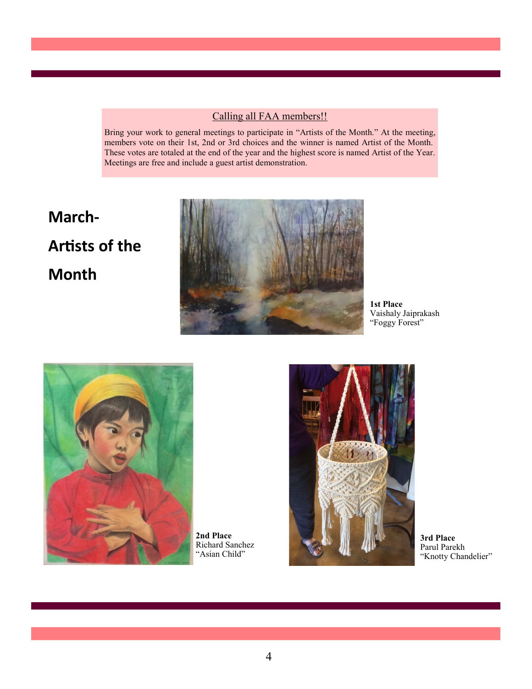#### Calling all FAA members!!

Bring your work to general meetings to participate in "Artists of the Month." At the meeting, members vote on their 1st, 2nd or 3rd choices and the winner is named Artist of the Month. These votes are totaled at the end of the year and the highest score is named Artist of the Year. Meetings are free and include a guest artist demonstration.

## **March-Artists of the Month**



**1st Place**  Vaishaly Jaiprakash "Foggy Forest"



**2nd Place**  Richard Sanchez "Asian Child"



**3rd Place**  Parul Parekh "Knotty Chandelier"